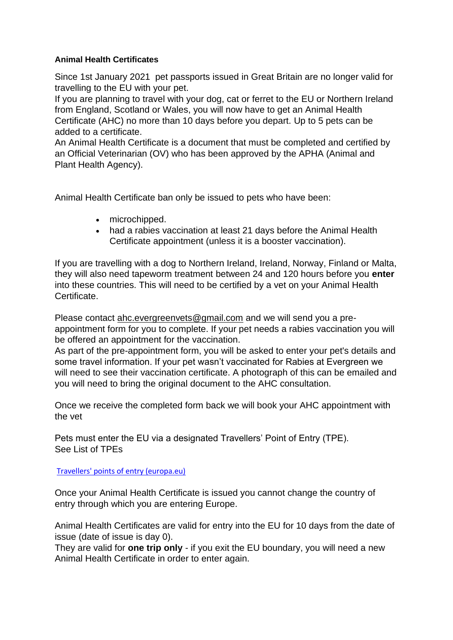## **Animal Health Certificates**

Since 1st January 2021 pet passports issued in Great Britain are no longer valid for travelling to the EU with your pet.

If you are planning to travel with your dog, cat or ferret to the EU or Northern Ireland from England, Scotland or Wales, you will now have to get an Animal Health Certificate (AHC) no more than 10 days before you depart. Up to 5 pets can be added to a certificate.

An Animal Health Certificate is a document that must be completed and certified by an Official Veterinarian (OV) who has been approved by the APHA (Animal and Plant Health Agency).

Animal Health Certificate ban only be issued to pets who have been:

- microchipped.
- had a rabies vaccination at least 21 days before the Animal Health Certificate appointment (unless it is a booster vaccination).

If you are travelling with a dog to Northern Ireland, Ireland, Norway, Finland or Malta, they will also need tapeworm treatment between 24 and 120 hours before you **enter** into these countries. This will need to be certified by a vet on your Animal Health Certificate.

Please contact [ahc.evergreenvets@gmail.com](mailto:ahc.evergreenvets@gmail.com) and we will send you a preappointment form for you to complete. If your pet needs a rabies vaccination you will be offered an appointment for the vaccination.

As part of the pre-appointment form, you will be asked to enter your pet's details and some travel information. If your pet wasn't vaccinated for Rabies at Evergreen we will need to see their vaccination certificate. A photograph of this can be emailed and you will need to bring the original document to the AHC consultation.

Once we receive the completed form back we will book your AHC appointment with the vet

Pets must enter the EU via a designated Travellers' Point of Entry (TPE). See List of TPEs

## [Travellers' points of entry \(europa.eu\)](https://ec.europa.eu/food/animals/movement-pets/travellers-points-entry_en)

Once your Animal Health Certificate is issued you cannot change the country of entry through which you are entering Europe.

Animal Health Certificates are valid for entry into the EU for 10 days from the date of issue (date of issue is day 0).

They are valid for **one trip only** - if you exit the EU boundary, you will need a new Animal Health Certificate in order to enter again.